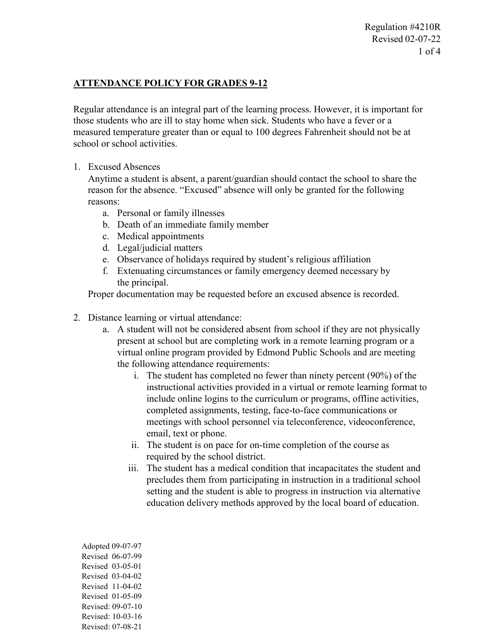Regulation #4210R Revised 02-07-22 1 of 4

## **ATTENDANCE POLICY FOR GRADES 9-12**

Regular attendance is an integral part of the learning process. However, it is important for those students who are ill to stay home when sick. Students who have a fever or a measured temperature greater than or equal to 100 degrees Fahrenheit should not be at school or school activities.

## 1. Excused Absences

Anytime a student is absent, a parent/guardian should contact the school to share the reason for the absence. "Excused" absence will only be granted for the following reasons:

- a. Personal or family illnesses
- b. Death of an immediate family member
- c. Medical appointments
- d. Legal/judicial matters
- e. Observance of holidays required by student's religious affiliation
- f. Extenuating circumstances or family emergency deemed necessary by the principal.

Proper documentation may be requested before an excused absence is recorded.

- 2. Distance learning or virtual attendance:
	- a. A student will not be considered absent from school if they are not physically present at school but are completing work in a remote learning program or a virtual online program provided by Edmond Public Schools and are meeting the following attendance requirements:
		- i. The student has completed no fewer than ninety percent (90%) of the instructional activities provided in a virtual or remote learning format to include online logins to the curriculum or programs, offline activities, completed assignments, testing, face-to-face communications or meetings with school personnel via teleconference, videoconference, email, text or phone.
		- ii. The student is on pace for on-time completion of the course as required by the school district.
		- iii. The student has a medical condition that incapacitates the student and precludes them from participating in instruction in a traditional school setting and the student is able to progress in instruction via alternative education delivery methods approved by the local board of education.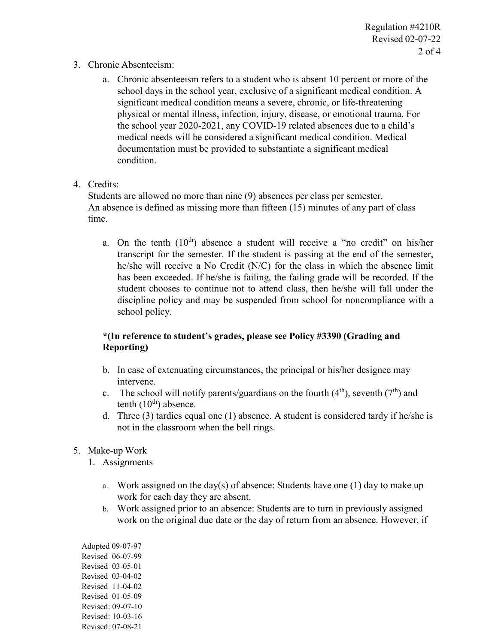- 3. Chronic Absenteeism:
	- a. Chronic absenteeism refers to a student who is absent 10 percent or more of the school days in the school year, exclusive of a significant medical condition. A significant medical condition means a severe, chronic, or life-threatening physical or mental illness, infection, injury, disease, or emotional trauma. For the school year 2020-2021, any COVID-19 related absences due to a child's medical needs will be considered a significant medical condition. Medical documentation must be provided to substantiate a significant medical condition.
- 4. Credits:

Students are allowed no more than nine (9) absences per class per semester. An absence is defined as missing more than fifteen (15) minutes of any part of class time.

a. On the tenth  $(10<sup>th</sup>)$  absence a student will receive a "no credit" on his/her transcript for the semester. If the student is passing at the end of the semester, he/she will receive a No Credit (N/C) for the class in which the absence limit has been exceeded. If he/she is failing, the failing grade will be recorded. If the student chooses to continue not to attend class, then he/she will fall under the discipline policy and may be suspended from school for noncompliance with a school policy.

## **\*(In reference to student's grades, please see Policy #3390 (Grading and Reporting)**

- b. In case of extenuating circumstances, the principal or his/her designee may intervene.
- c. The school will notify parents/guardians on the fourth  $(4<sup>th</sup>)$ , seventh  $(7<sup>th</sup>)$  and tenth  $(10<sup>th</sup>)$  absence.
- d. Three (3) tardies equal one (1) absence. A student is considered tardy if he/she is not in the classroom when the bell rings.
- 5. Make-up Work
	- 1. Assignments
		- a. Work assigned on the day(s) of absence: Students have one (1) day to make up work for each day they are absent.
		- b. Work assigned prior to an absence: Students are to turn in previously assigned work on the original due date or the day of return from an absence. However, if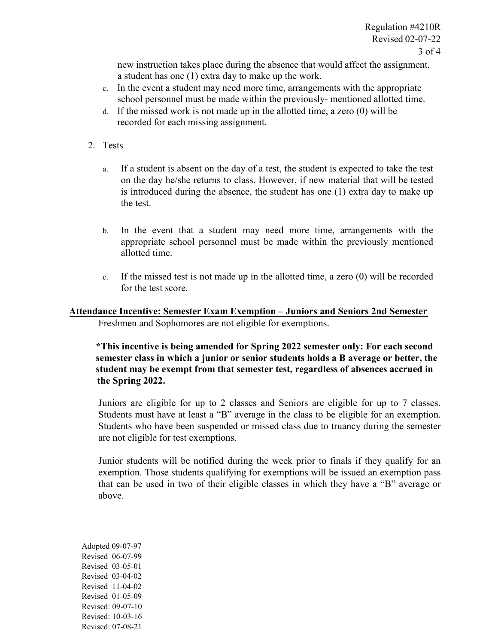new instruction takes place during the absence that would affect the assignment, a student has one (1) extra day to make up the work.

- c. In the event a student may need more time, arrangements with the appropriate school personnel must be made within the previously- mentioned allotted time.
- d. If the missed work is not made up in the allotted time, a zero (0) will be recorded for each missing assignment.
- 2. Tests
	- a. If a student is absent on the day of a test, the student is expected to take the test on the day he/she returns to class. However, if new material that will be tested is introduced during the absence, the student has one (1) extra day to make up the test.
	- b. In the event that a student may need more time, arrangements with the appropriate school personnel must be made within the previously mentioned allotted time.
	- c. If the missed test is not made up in the allotted time, a zero (0) will be recorded for the test score.

## **Attendance Incentive: Semester Exam Exemption – Juniors and Seniors 2nd Semester**

Freshmen and Sophomores are not eligible for exemptions.

**\*This incentive is being amended for Spring 2022 semester only: For each second semester class in which a junior or senior students holds a B average or better, the student may be exempt from that semester test, regardless of absences accrued in the Spring 2022.**

Juniors are eligible for up to 2 classes and Seniors are eligible for up to 7 classes. Students must have at least a "B" average in the class to be eligible for an exemption. Students who have been suspended or missed class due to truancy during the semester are not eligible for test exemptions.

Junior students will be notified during the week prior to finals if they qualify for an exemption. Those students qualifying for exemptions will be issued an exemption pass that can be used in two of their eligible classes in which they have a "B" average or above.